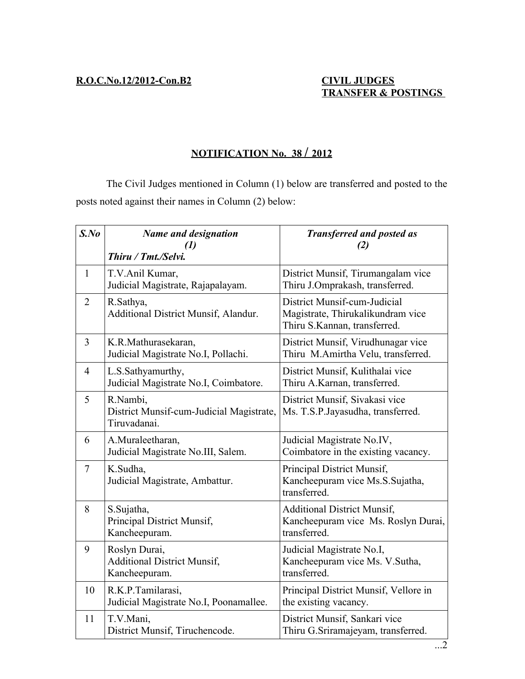## **N OTIFICATION No. 38 / 2012**

The Civil Judges mentioned in Column (1) below are transferred and posted to the posts noted against their names in Column (2) below:

| $S$ .No        | <b>Name and designation</b><br>(1)<br>Thiru / Tmt./Selvi.            | <b>Transferred and posted as</b><br>(2)                                                           |
|----------------|----------------------------------------------------------------------|---------------------------------------------------------------------------------------------------|
| $\mathbf{1}$   | T.V.Anil Kumar,<br>Judicial Magistrate, Rajapalayam.                 | District Munsif, Tirumangalam vice<br>Thiru J.Omprakash, transferred.                             |
| $\overline{2}$ | R.Sathya,<br>Additional District Munsif, Alandur.                    | District Munsif-cum-Judicial<br>Magistrate, Thirukalikundram vice<br>Thiru S.Kannan, transferred. |
| 3              | K.R.Mathurasekaran,<br>Judicial Magistrate No.I, Pollachi.           | District Munsif, Virudhunagar vice<br>Thiru M.Amirtha Velu, transferred.                          |
| $\overline{4}$ | L.S.Sathyamurthy,<br>Judicial Magistrate No.I, Coimbatore.           | District Munsif, Kulithalai vice<br>Thiru A.Karnan, transferred.                                  |
| 5              | R.Nambi,<br>District Munsif-cum-Judicial Magistrate,<br>Tiruvadanai. | District Munsif, Sivakasi vice<br>Ms. T.S.P.Jayasudha, transferred.                               |
| 6              | A.Muraleetharan,<br>Judicial Magistrate No.III, Salem.               | Judicial Magistrate No.IV,<br>Coimbatore in the existing vacancy.                                 |
| $\overline{7}$ | K.Sudha,<br>Judicial Magistrate, Ambattur.                           | Principal District Munsif,<br>Kancheepuram vice Ms.S.Sujatha,<br>transferred.                     |
| 8              | S.Sujatha,<br>Principal District Munsif,<br>Kancheepuram.            | <b>Additional District Munsif,</b><br>Kancheepuram vice Ms. Roslyn Durai,<br>transferred.         |
| 9              | Roslyn Durai,<br><b>Additional District Munsif,</b><br>Kancheepuram. | Judicial Magistrate No.I,<br>Kancheepuram vice Ms. V.Sutha,<br>transferred.                       |
| 10             | R.K.P.Tamilarasi,<br>Judicial Magistrate No.I, Poonamallee.          | Principal District Munsif, Vellore in<br>the existing vacancy.                                    |
| 11             | T.V.Mani,<br>District Munsif, Tiruchencode.                          | District Munsif, Sankari vice<br>Thiru G.Sriramajeyam, transferred.                               |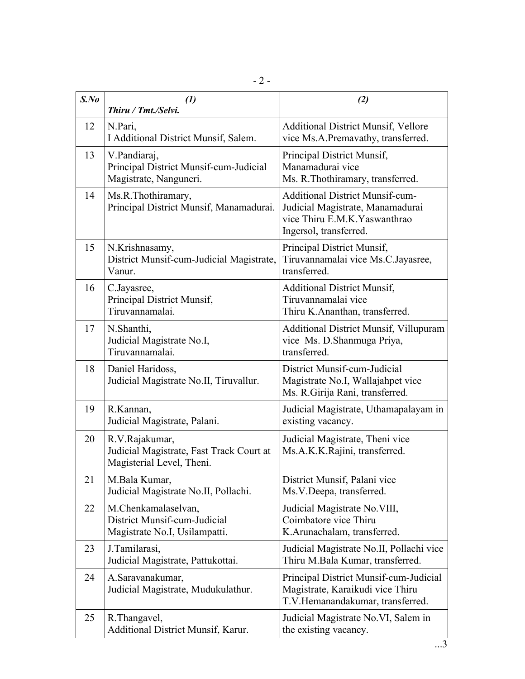| $S$ .No | $\mathcal{L}(I)$<br>Thiru / Tmt./Selvi.                                                 | (2)                                                                                                                                  |  |
|---------|-----------------------------------------------------------------------------------------|--------------------------------------------------------------------------------------------------------------------------------------|--|
| 12      | N.Pari,<br>I Additional District Munsif, Salem.                                         | <b>Additional District Munsif, Vellore</b><br>vice Ms.A.Premavathy, transferred.                                                     |  |
| 13      | V.Pandiaraj,<br>Principal District Munsif-cum-Judicial<br>Magistrate, Nanguneri.        | Principal District Munsif,<br>Manamadurai vice<br>Ms. R. Thothiramary, transferred.                                                  |  |
| 14      | Ms.R.Thothiramary,<br>Principal District Munsif, Manamadurai.                           | <b>Additional District Munsif-cum-</b><br>Judicial Magistrate, Manamadurai<br>vice Thiru E.M.K.Yaswanthrao<br>Ingersol, transferred. |  |
| 15      | N.Krishnasamy,<br>District Munsif-cum-Judicial Magistrate,<br>Vanur.                    | Principal District Munsif,<br>Tiruvannamalai vice Ms.C.Jayasree,<br>transferred.                                                     |  |
| 16      | C.Jayasree,<br>Principal District Munsif,<br>Tiruvannamalai.                            | <b>Additional District Munsif,</b><br>Tiruvannamalai vice<br>Thiru K.Ananthan, transferred.                                          |  |
| 17      | N.Shanthi,<br>Judicial Magistrate No.I,<br>Tiruvannamalai.                              | <b>Additional District Munsif, Villupuram</b><br>vice Ms. D. Shanmuga Priya,<br>transferred.                                         |  |
| 18      | Daniel Haridoss,<br>Judicial Magistrate No.II, Tiruvallur.                              | District Munsif-cum-Judicial<br>Magistrate No.I, Wallajahpet vice<br>Ms. R. Girija Rani, transferred.                                |  |
| 19      | R.Kannan,<br>Judicial Magistrate, Palani.                                               | Judicial Magistrate, Uthamapalayam in<br>existing vacancy.                                                                           |  |
| 20      | R.V.Rajakumar,<br>Judicial Magistrate, Fast Track Court at<br>Magisterial Level, Theni. | Judicial Magistrate, Theni vice<br>Ms.A.K.K.Rajini, transferred.                                                                     |  |
| 21      | M.Bala Kumar,<br>Judicial Magistrate No.II, Pollachi.                                   | District Munsif, Palani vice<br>Ms.V.Deepa, transferred.                                                                             |  |
| 22      | M.Chenkamalaselvan,<br>District Munsif-cum-Judicial<br>Magistrate No.I, Usilampatti.    | Judicial Magistrate No. VIII,<br>Coimbatore vice Thiru<br>K.Arunachalam, transferred.                                                |  |
| 23      | J.Tamilarasi,<br>Judicial Magistrate, Pattukottai.                                      | Judicial Magistrate No.II, Pollachi vice<br>Thiru M.Bala Kumar, transferred.                                                         |  |
| 24      | A.Saravanakumar,<br>Judicial Magistrate, Mudukulathur.                                  | Principal District Munsif-cum-Judicial<br>Magistrate, Karaikudi vice Thiru<br>T.V.Hemanandakumar, transferred.                       |  |
| 25      | R. Thangavel,<br>Additional District Munsif, Karur.                                     | Judicial Magistrate No.VI, Salem in<br>the existing vacancy.                                                                         |  |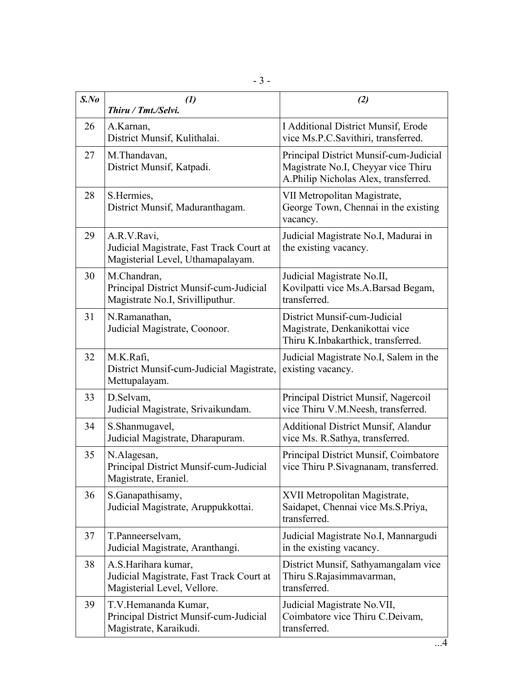| $S$ .No | $\left( l\right)$<br>Thiru / Tmt./Selvi.                                                       | (2)                                                                                                                   |
|---------|------------------------------------------------------------------------------------------------|-----------------------------------------------------------------------------------------------------------------------|
| 26      | A.Karnan,<br>District Munsif, Kulithalai.                                                      | I Additional District Munsif, Erode<br>vice Ms.P.C.Savithiri, transferred.                                            |
| 27      | M.Thandavan,<br>District Munsif, Katpadi.                                                      | Principal District Munsif-cum-Judicial<br>Magistrate No.I, Cheyyar vice Thiru<br>A.Philip Nicholas Alex, transferred. |
| 28      | S.Hermies,<br>District Munsif, Maduranthagam.                                                  | VII Metropolitan Magistrate,<br>George Town, Chennai in the existing<br>vacancy.                                      |
| 29      | A.R.V.Ravi,<br>Judicial Magistrate, Fast Track Court at<br>Magisterial Level, Uthamapalayam.   | Judicial Magistrate No.I, Madurai in<br>the existing vacancy.                                                         |
| 30      | M.Chandran,<br>Principal District Munsif-cum-Judicial<br>Magistrate No.I, Srivilliputhur.      | Judicial Magistrate No.II,<br>Kovilpatti vice Ms.A.Barsad Begam,<br>transferred.                                      |
| 31      | N.Ramanathan,<br>Judicial Magistrate, Coonoor.                                                 | District Munsif-cum-Judicial<br>Magistrate, Denkanikottai vice<br>Thiru K.Inbakarthick, transferred.                  |
| 32      | M.K.Rafi,<br>District Munsif-cum-Judicial Magistrate,<br>Mettupalayam.                         | Judicial Magistrate No.I, Salem in the<br>existing vacancy.                                                           |
| 33      | D.Selvam,<br>Judicial Magistrate, Srivaikundam.                                                | Principal District Munsif, Nagercoil<br>vice Thiru V.M.Neesh, transferred.                                            |
| 34      | S. Shanmugavel,<br>Judicial Magistrate, Dharapuram.                                            | <b>Additional District Munsif, Alandur</b><br>vice Ms. R. Sathya, transferred.                                        |
| 35      | N.Alagesan,<br>Principal District Munsif-cum-Judicial<br>Magistrate, Eraniel.                  | Principal District Munsif, Coimbatore<br>vice Thiru P. Sivagnanam, transferred.                                       |
| 36      | S. Ganapathisamy,<br>Judicial Magistrate, Aruppukkottai.                                       | XVII Metropolitan Magistrate,<br>Saidapet, Chennai vice Ms.S.Priya,<br>transferred.                                   |
| 37      | T.Panneerselvam,<br>Judicial Magistrate, Aranthangi.                                           | Judicial Magistrate No.I, Mannargudi<br>in the existing vacancy.                                                      |
| 38      | A.S.Harihara kumar,<br>Judicial Magistrate, Fast Track Court at<br>Magisterial Level, Vellore. | District Munsif, Sathyamangalam vice<br>Thiru S.Rajasimmavarman,<br>transferred.                                      |
| 39      | T.V.Hemananda Kumar,<br>Principal District Munsif-cum-Judicial<br>Magistrate, Karaikudi.       | Judicial Magistrate No. VII,<br>Coimbatore vice Thiru C.Deivam,<br>transferred.                                       |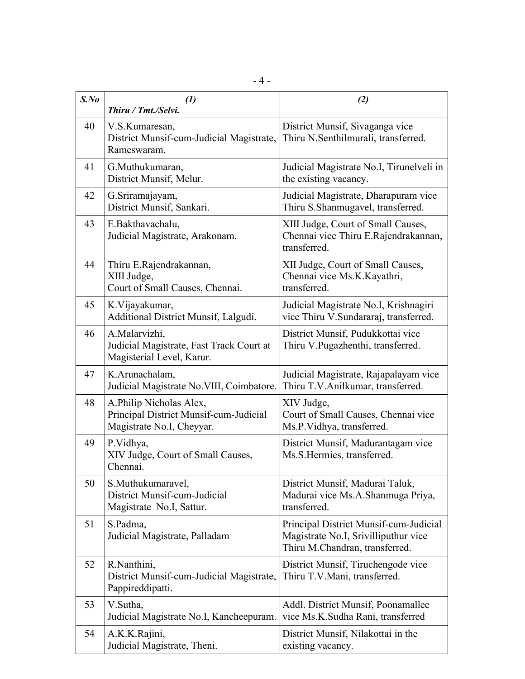| $S$ .No | $\left( \mathbf{I}\right)$<br>Thiru / Tmt./Selvi.                                              | (2)                                                                                                              |
|---------|------------------------------------------------------------------------------------------------|------------------------------------------------------------------------------------------------------------------|
| 40      | V.S.Kumaresan,<br>District Munsif-cum-Judicial Magistrate,<br>Rameswaram.                      | District Munsif, Sivaganga vice<br>Thiru N.Senthilmurali, transferred.                                           |
| 41      | G.Muthukumaran,<br>District Munsif, Melur.                                                     | Judicial Magistrate No.I, Tirunelveli in<br>the existing vacancy.                                                |
| 42      | G.Sriramajayam,<br>District Munsif, Sankari.                                                   | Judicial Magistrate, Dharapuram vice<br>Thiru S.Shanmugavel, transferred.                                        |
| 43      | E.Bakthavachalu,<br>Judicial Magistrate, Arakonam.                                             | XIII Judge, Court of Small Causes,<br>Chennai vice Thiru E.Rajendrakannan,<br>transferred.                       |
| 44      | Thiru E.Rajendrakannan,<br>XIII Judge,<br>Court of Small Causes, Chennai.                      | XII Judge, Court of Small Causes,<br>Chennai vice Ms.K.Kayathri,<br>transferred.                                 |
| 45      | K.Vijayakumar,<br>Additional District Munsif, Lalgudi.                                         | Judicial Magistrate No.I, Krishnagiri<br>vice Thiru V.Sundararaj, transferred.                                   |
| 46      | A.Malarvizhi,<br>Judicial Magistrate, Fast Track Court at<br>Magisterial Level, Karur.         | District Munsif, Pudukkottai vice<br>Thiru V.Pugazhenthi, transferred.                                           |
| 47      | K.Arunachalam,<br>Judicial Magistrate No. VIII, Coimbatore.                                    | Judicial Magistrate, Rajapalayam vice<br>Thiru T.V.Anilkumar, transferred.                                       |
| 48      | A.Philip Nicholas Alex,<br>Principal District Munsif-cum-Judicial<br>Magistrate No.I, Cheyyar. | XIV Judge,<br>Court of Small Causes, Chennai vice<br>Ms.P.Vidhya, transferred.                                   |
| 49      | P.Vidhya,<br>XIV Judge, Court of Small Causes,<br>Chennai.                                     | District Munsif, Madurantagam vice<br>Ms.S.Hermies, transferred.                                                 |
| 50      | S.Muthukumaravel,<br>District Munsif-cum-Judicial<br>Magistrate No.I, Sattur.                  | District Munsif, Madurai Taluk,<br>Madurai vice Ms.A.Shanmuga Priya,<br>transferred.                             |
| 51      | S.Padma,<br>Judicial Magistrate, Palladam                                                      | Principal District Munsif-cum-Judicial<br>Magistrate No.I, Srivilliputhur vice<br>Thiru M.Chandran, transferred. |
| 52      | R.Nanthini,<br>District Munsif-cum-Judicial Magistrate,<br>Pappireddipatti.                    | District Munsif, Tiruchengode vice<br>Thiru T.V.Mani, transferred.                                               |
| 53      | V.Sutha,<br>Judicial Magistrate No.I, Kancheepuram.                                            | Addl. District Munsif, Poonamallee<br>vice Ms.K.Sudha Rani, transferred                                          |
| 54      | A.K.K.Rajini,<br>Judicial Magistrate, Theni.                                                   | District Munsif, Nilakottai in the<br>existing vacancy.                                                          |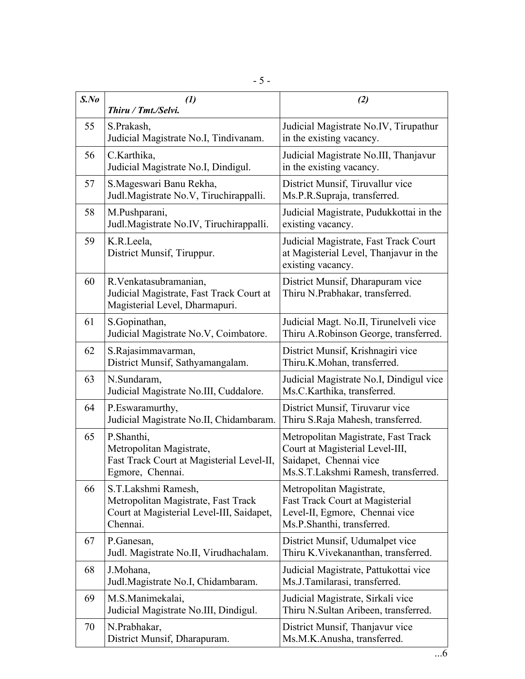| $S$ .No | $\left( l\right)$<br>Thiru / Tmt./Selvi.                                                                            | (2)                                                                                                                                     |  |
|---------|---------------------------------------------------------------------------------------------------------------------|-----------------------------------------------------------------------------------------------------------------------------------------|--|
| 55      | S.Prakash,<br>Judicial Magistrate No.I, Tindivanam.                                                                 | Judicial Magistrate No.IV, Tirupathur<br>in the existing vacancy.                                                                       |  |
| 56      | C.Karthika,<br>Judicial Magistrate No.I, Dindigul.                                                                  | Judicial Magistrate No.III, Thanjavur<br>in the existing vacancy.                                                                       |  |
| 57      | S.Mageswari Banu Rekha,<br>Judl.Magistrate No.V, Tiruchirappalli.                                                   | District Munsif, Tiruvallur vice<br>Ms.P.R.Supraja, transferred.                                                                        |  |
| 58      | M.Pushparani,<br>Judl.Magistrate No.IV, Tiruchirappalli.                                                            | Judicial Magistrate, Pudukkottai in the<br>existing vacancy.                                                                            |  |
| 59      | K.R.Leela,<br>District Munsif, Tiruppur.                                                                            | Judicial Magistrate, Fast Track Court<br>at Magisterial Level, Thanjavur in the<br>existing vacancy.                                    |  |
| 60      | R.Venkatasubramanian,<br>Judicial Magistrate, Fast Track Court at<br>Magisterial Level, Dharmapuri.                 | District Munsif, Dharapuram vice<br>Thiru N.Prabhakar, transferred.                                                                     |  |
| 61      | S.Gopinathan,<br>Judicial Magistrate No.V, Coimbatore.                                                              | Judicial Magt. No.II, Tirunelveli vice<br>Thiru A.Robinson George, transferred.                                                         |  |
| 62      | S.Rajasimmavarman,<br>District Munsif, Sathyamangalam.                                                              | District Munsif, Krishnagiri vice<br>Thiru.K.Mohan, transferred.                                                                        |  |
| 63      | N.Sundaram,<br>Judicial Magistrate No.III, Cuddalore.                                                               | Judicial Magistrate No.I, Dindigul vice<br>Ms.C.Karthika, transferred.                                                                  |  |
| 64      | P.Eswaramurthy,<br>Judicial Magistrate No.II, Chidambaram.                                                          | District Munsif, Tiruvarur vice<br>Thiru S.Raja Mahesh, transferred.                                                                    |  |
| 65      | P.Shanthi,<br>Metropolitan Magistrate,<br>Fast Track Court at Magisterial Level-II,<br>Egmore, Chennai.             | Metropolitan Magistrate, Fast Track<br>Court at Magisterial Level-III,<br>Saidapet, Chennai vice<br>Ms.S.T.Lakshmi Ramesh, transferred. |  |
| 66      | S.T.Lakshmi Ramesh,<br>Metropolitan Magistrate, Fast Track<br>Court at Magisterial Level-III, Saidapet,<br>Chennai. | Metropolitan Magistrate,<br>Fast Track Court at Magisterial<br>Level-II, Egmore, Chennai vice<br>Ms.P.Shanthi, transferred.             |  |
| 67      | P.Ganesan,<br>Judl. Magistrate No.II, Virudhachalam.                                                                | District Munsif, Udumalpet vice<br>Thiru K. Vivekananthan, transferred.                                                                 |  |
| 68      | J.Mohana,<br>Judl.Magistrate No.I, Chidambaram.                                                                     | Judicial Magistrate, Pattukottai vice<br>Ms.J.Tamilarasi, transferred.                                                                  |  |
| 69      | M.S.Manimekalai,<br>Judicial Magistrate No.III, Dindigul.                                                           | Judicial Magistrate, Sirkali vice<br>Thiru N.Sultan Aribeen, transferred.                                                               |  |
| 70      | N.Prabhakar,<br>District Munsif, Dharapuram.                                                                        | District Munsif, Thanjavur vice<br>Ms.M.K.Anusha, transferred.                                                                          |  |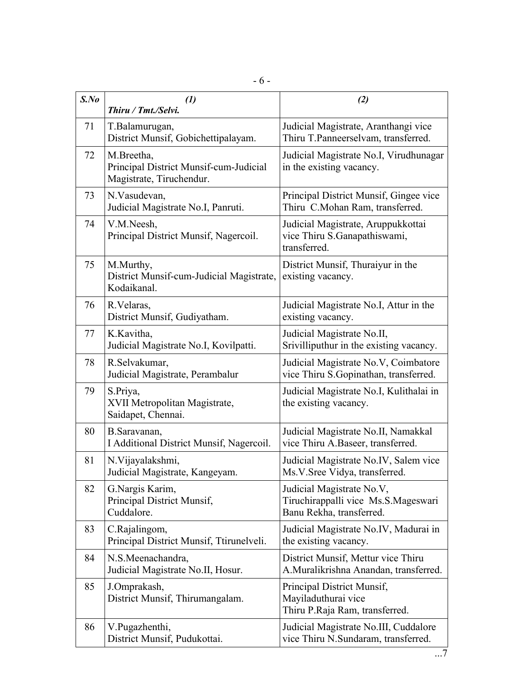| $S$ .No | $\left( l\right)$<br>Thiru / Tmt./Selvi.                                         | (2)                                                                                          |
|---------|----------------------------------------------------------------------------------|----------------------------------------------------------------------------------------------|
| 71      | T.Balamurugan,<br>District Munsif, Gobichettipalayam.                            | Judicial Magistrate, Aranthangi vice<br>Thiru T.Panneerselvam, transferred.                  |
| 72      | M.Breetha,<br>Principal District Munsif-cum-Judicial<br>Magistrate, Tiruchendur. | Judicial Magistrate No.I, Virudhunagar<br>in the existing vacancy.                           |
| 73      | N.Vasudevan,<br>Judicial Magistrate No.I, Panruti.                               | Principal District Munsif, Gingee vice<br>Thiru C.Mohan Ram, transferred.                    |
| 74      | V.M.Neesh,<br>Principal District Munsif, Nagercoil.                              | Judicial Magistrate, Aruppukkottai<br>vice Thiru S.Ganapathiswami,<br>transferred.           |
| 75      | M.Murthy,<br>District Munsif-cum-Judicial Magistrate,<br>Kodaikanal.             | District Munsif, Thuraiyur in the<br>existing vacancy.                                       |
| 76      | R. Velaras,<br>District Munsif, Gudiyatham.                                      | Judicial Magistrate No.I, Attur in the<br>existing vacancy.                                  |
| 77      | K.Kavitha,<br>Judicial Magistrate No.I, Kovilpatti.                              | Judicial Magistrate No.II,<br>Srivilliputhur in the existing vacancy.                        |
| 78      | R.Selvakumar,<br>Judicial Magistrate, Perambalur                                 | Judicial Magistrate No.V, Coimbatore<br>vice Thiru S.Gopinathan, transferred.                |
| 79      | S.Priya,<br>XVII Metropolitan Magistrate,<br>Saidapet, Chennai.                  | Judicial Magistrate No.I, Kulithalai in<br>the existing vacancy.                             |
| 80      | B.Saravanan,<br>I Additional District Munsif, Nagercoil.                         | Judicial Magistrate No.II, Namakkal<br>vice Thiru A.Baseer, transferred.                     |
| 81      | N. Vijayalakshmi,<br>Judicial Magistrate, Kangeyam.                              | Judicial Magistrate No.IV, Salem vice<br>Ms.V.Sree Vidya, transferred.                       |
| 82      | G.Nargis Karim,<br>Principal District Munsif,<br>Cuddalore.                      | Judicial Magistrate No.V,<br>Tiruchirappalli vice Ms.S.Mageswari<br>Banu Rekha, transferred. |
| 83      | C.Rajalingom,<br>Principal District Munsif, Ttirunelveli.                        | Judicial Magistrate No.IV, Madurai in<br>the existing vacancy.                               |
| 84      | N.S.Meenachandra,<br>Judicial Magistrate No.II, Hosur.                           | District Munsif, Mettur vice Thiru<br>A.Muralikrishna Anandan, transferred.                  |
| 85      | J.Omprakash,<br>District Munsif, Thirumangalam.                                  | Principal District Munsif,<br>Mayiladuthurai vice<br>Thiru P.Raja Ram, transferred.          |
| 86      | V.Pugazhenthi,<br>District Munsif, Pudukottai.                                   | Judicial Magistrate No.III, Cuddalore<br>vice Thiru N.Sundaram, transferred.                 |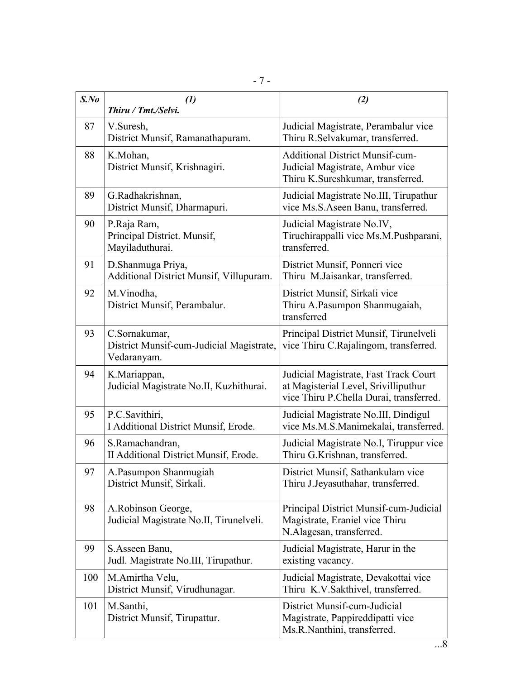| $S$ .No | $\left( l\right)$<br>Thiru / Tmt./Selvi.                                 | (2)                                                                                                                      |
|---------|--------------------------------------------------------------------------|--------------------------------------------------------------------------------------------------------------------------|
| 87      | V.Suresh,<br>District Munsif, Ramanathapuram.                            | Judicial Magistrate, Perambalur vice<br>Thiru R.Selvakumar, transferred.                                                 |
| 88      | K.Mohan,<br>District Munsif, Krishnagiri.                                | <b>Additional District Munsif-cum-</b><br>Judicial Magistrate, Ambur vice<br>Thiru K.Sureshkumar, transferred.           |
| 89      | G.Radhakrishnan,<br>District Munsif, Dharmapuri.                         | Judicial Magistrate No.III, Tirupathur<br>vice Ms.S.Aseen Banu, transferred.                                             |
| 90      | P.Raja Ram,<br>Principal District. Munsif,<br>Mayiladuthurai.            | Judicial Magistrate No.IV,<br>Tiruchirappalli vice Ms.M.Pushparani,<br>transferred.                                      |
| 91      | D.Shanmuga Priya,<br>Additional District Munsif, Villupuram.             | District Munsif, Ponneri vice<br>Thiru M.Jaisankar, transferred.                                                         |
| 92      | M.Vinodha,<br>District Munsif, Perambalur.                               | District Munsif, Sirkali vice<br>Thiru A.Pasumpon Shanmugaiah,<br>transferred                                            |
| 93      | C.Sornakumar,<br>District Munsif-cum-Judicial Magistrate,<br>Vedaranyam. | Principal District Munsif, Tirunelveli<br>vice Thiru C.Rajalingom, transferred.                                          |
| 94      | K.Mariappan,<br>Judicial Magistrate No.II, Kuzhithurai.                  | Judicial Magistrate, Fast Track Court<br>at Magisterial Level, Srivilliputhur<br>vice Thiru P.Chella Durai, transferred. |
| 95      | P.C.Savithiri,<br>I Additional District Munsif, Erode.                   | Judicial Magistrate No.III, Dindigul<br>vice Ms.M.S.Manimekalai, transferred.                                            |
| 96      | S.Ramachandran,<br>II Additional District Munsif, Erode.                 | Judicial Magistrate No.I, Tiruppur vice<br>Thiru G.Krishnan, transferred.                                                |
| 97      | A.Pasumpon Shanmugiah<br>District Munsif, Sirkali.                       | District Munsif, Sathankulam vice<br>Thiru J.Jeyasuthahar, transferred.                                                  |
| 98      | A.Robinson George,<br>Judicial Magistrate No.II, Tirunelveli.            | Principal District Munsif-cum-Judicial<br>Magistrate, Eraniel vice Thiru<br>N.Alagesan, transferred.                     |
| 99      | S.Asseen Banu,<br>Judl. Magistrate No.III, Tirupathur.                   | Judicial Magistrate, Harur in the<br>existing vacancy.                                                                   |
| 100     | M.Amirtha Velu,<br>District Munsif, Virudhunagar.                        | Judicial Magistrate, Devakottai vice<br>Thiru K.V.Sakthivel, transferred.                                                |
| 101     | M.Santhi,<br>District Munsif, Tirupattur.                                | District Munsif-cum-Judicial<br>Magistrate, Pappireddipatti vice<br>Ms.R.Nanthini, transferred.                          |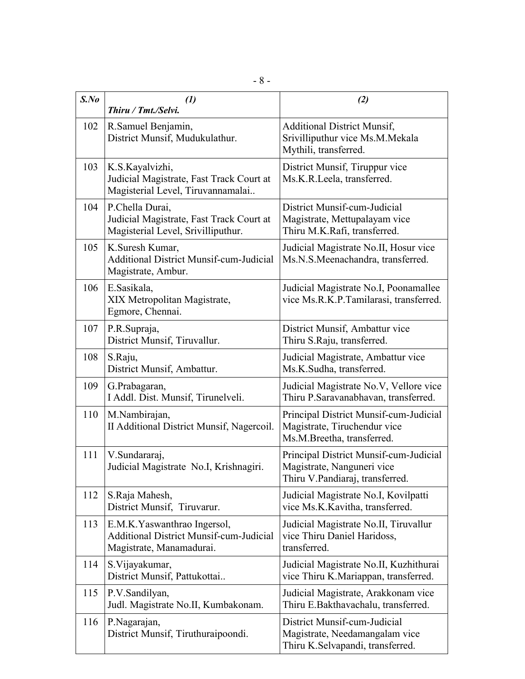| $S$ .No | $\left( \mathbf{1}\right)$<br>Thiru / Tmt./Selvi.                                                          | (2)                                                                                                     |
|---------|------------------------------------------------------------------------------------------------------------|---------------------------------------------------------------------------------------------------------|
| 102     | R.Samuel Benjamin,<br>District Munsif, Mudukulathur.                                                       | <b>Additional District Munsif,</b><br>Srivilliputhur vice Ms.M.Mekala<br>Mythili, transferred.          |
| 103     | K.S.Kayalvizhi,<br>Judicial Magistrate, Fast Track Court at<br>Magisterial Level, Tiruvannamalai           | District Munsif, Tiruppur vice<br>Ms.K.R.Leela, transferred.                                            |
| 104     | P.Chella Durai,<br>Judicial Magistrate, Fast Track Court at<br>Magisterial Level, Srivilliputhur.          | District Munsif-cum-Judicial<br>Magistrate, Mettupalayam vice<br>Thiru M.K.Rafi, transferred.           |
| 105     | K.Suresh Kumar,<br><b>Additional District Munsif-cum-Judicial</b><br>Magistrate, Ambur.                    | Judicial Magistrate No.II, Hosur vice<br>Ms.N.S.Meenachandra, transferred.                              |
| 106     | E.Sasikala,<br>XIX Metropolitan Magistrate,<br>Egmore, Chennai.                                            | Judicial Magistrate No.I, Poonamallee<br>vice Ms.R.K.P.Tamilarasi, transferred.                         |
| 107     | P.R.Supraja,<br>District Munsif, Tiruvallur.                                                               | District Munsif, Ambattur vice<br>Thiru S.Raju, transferred.                                            |
| 108     | S.Raju,<br>District Munsif, Ambattur.                                                                      | Judicial Magistrate, Ambattur vice<br>Ms.K.Sudha, transferred.                                          |
| 109     | G.Prabagaran,<br>I Addl. Dist. Munsif, Tirunelveli.                                                        | Judicial Magistrate No.V, Vellore vice<br>Thiru P.Saravanabhavan, transferred.                          |
| 110     | M.Nambirajan,<br>II Additional District Munsif, Nagercoil.                                                 | Principal District Munsif-cum-Judicial<br>Magistrate, Tiruchendur vice<br>Ms.M.Breetha, transferred.    |
| 111     | V.Sundararaj,<br>Judicial Magistrate No.I, Krishnagiri.                                                    | Principal District Munsif-cum-Judicial<br>Magistrate, Nanguneri vice<br>Thiru V.Pandiaraj, transferred. |
| 112     | S.Raja Mahesh,<br>District Munsif, Tiruvarur.                                                              | Judicial Magistrate No.I, Kovilpatti<br>vice Ms.K.Kavitha, transferred.                                 |
| 113     | E.M.K. Yaswanthrao Ingersol,<br><b>Additional District Munsif-cum-Judicial</b><br>Magistrate, Manamadurai. | Judicial Magistrate No.II, Tiruvallur<br>vice Thiru Daniel Haridoss,<br>transferred.                    |
| 114     | S. Vijayakumar,<br>District Munsif, Pattukottai                                                            | Judicial Magistrate No.II, Kuzhithurai<br>vice Thiru K.Mariappan, transferred.                          |
| 115     | P.V.Sandilyan,<br>Judl. Magistrate No.II, Kumbakonam.                                                      | Judicial Magistrate, Arakkonam vice<br>Thiru E.Bakthavachalu, transferred.                              |
| 116     | P.Nagarajan,<br>District Munsif, Tiruthuraipoondi.                                                         | District Munsif-cum-Judicial<br>Magistrate, Needamangalam vice<br>Thiru K.Selvapandi, transferred.      |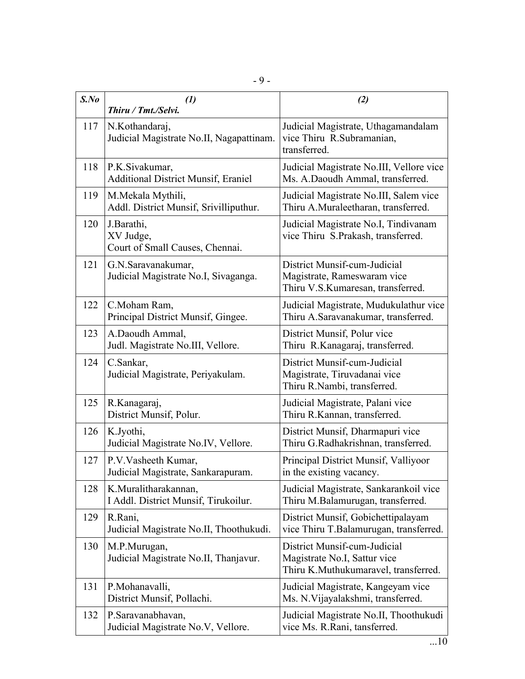| $S$ .No | $\left( l\right)$<br>Thiru / Tmt./Selvi.                     | (2)                                                                                                  |
|---------|--------------------------------------------------------------|------------------------------------------------------------------------------------------------------|
| 117     | N.Kothandaraj,<br>Judicial Magistrate No.II, Nagapattinam.   | Judicial Magistrate, Uthagamandalam<br>vice Thiru R.Subramanian,<br>transferred.                     |
| 118     | P.K.Sivakumar,<br><b>Additional District Munsif, Eraniel</b> | Judicial Magistrate No.III, Vellore vice<br>Ms. A.Daoudh Ammal, transferred.                         |
| 119     | M.Mekala Mythili,<br>Addl. District Munsif, Srivilliputhur.  | Judicial Magistrate No.III, Salem vice<br>Thiru A.Muraleetharan, transferred.                        |
| 120     | J.Barathi,<br>XV Judge,<br>Court of Small Causes, Chennai.   | Judicial Magistrate No.I, Tindivanam<br>vice Thiru S.Prakash, transferred.                           |
| 121     | G.N.Saravanakumar,<br>Judicial Magistrate No.I, Sivaganga.   | District Munsif-cum-Judicial<br>Magistrate, Rameswaram vice<br>Thiru V.S.Kumaresan, transferred.     |
| 122     | C.Moham Ram,<br>Principal District Munsif, Gingee.           | Judicial Magistrate, Mudukulathur vice<br>Thiru A.Saravanakumar, transferred.                        |
| 123     | A.Daoudh Ammal,<br>Judl. Magistrate No.III, Vellore.         | District Munsif, Polur vice<br>Thiru R.Kanagaraj, transferred.                                       |
| 124     | C.Sankar,<br>Judicial Magistrate, Periyakulam.               | District Munsif-cum-Judicial<br>Magistrate, Tiruvadanai vice<br>Thiru R.Nambi, transferred.          |
| 125     | R.Kanagaraj,<br>District Munsif, Polur.                      | Judicial Magistrate, Palani vice<br>Thiru R.Kannan, transferred.                                     |
| 126     | K.Jyothi,<br>Judicial Magistrate No.IV, Vellore.             | District Munsif, Dharmapuri vice<br>Thiru G.Radhakrishnan, transferred.                              |
| 127     | P.V.Vasheeth Kumar,<br>Judicial Magistrate, Sankarapuram.    | Principal District Munsif, Valliyoor<br>in the existing vacancy.                                     |
| 128     | K.Muralitharakannan,<br>I Addl. District Munsif, Tirukoilur. | Judicial Magistrate, Sankarankoil vice<br>Thiru M.Balamurugan, transferred.                          |
| 129     | R.Rani,<br>Judicial Magistrate No.II, Thoothukudi.           | District Munsif, Gobichettipalayam<br>vice Thiru T.Balamurugan, transferred.                         |
| 130     | M.P.Murugan,<br>Judicial Magistrate No.II, Thanjavur.        | District Munsif-cum-Judicial<br>Magistrate No.I, Sattur vice<br>Thiru K.Muthukumaravel, transferred. |
| 131     | P.Mohanavalli,<br>District Munsif, Pollachi.                 | Judicial Magistrate, Kangeyam vice<br>Ms. N. Vijayalakshmi, transferred.                             |
| 132     | P.Saravanabhavan,<br>Judicial Magistrate No.V, Vellore.      | Judicial Magistrate No.II, Thoothukudi<br>vice Ms. R.Rani, tansferred.                               |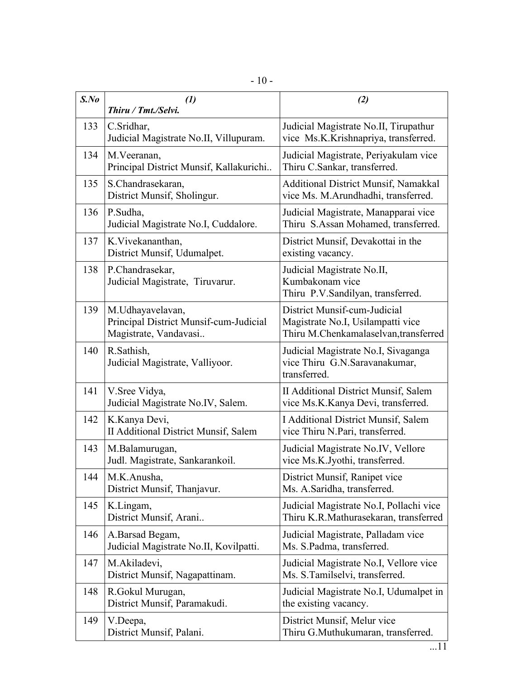| $S$ .No | $\mathcal{L}(I)$<br>Thiru / Tmt./Selvi.                                             | (2)                                                                                                        |
|---------|-------------------------------------------------------------------------------------|------------------------------------------------------------------------------------------------------------|
| 133     | C.Sridhar,<br>Judicial Magistrate No.II, Villupuram.                                | Judicial Magistrate No.II, Tirupathur<br>vice Ms.K.Krishnapriya, transferred.                              |
| 134     | M.Veeranan,<br>Principal District Munsif, Kallakurichi                              | Judicial Magistrate, Periyakulam vice<br>Thiru C.Sankar, transferred.                                      |
| 135     | S.Chandrasekaran,<br>District Munsif, Sholingur.                                    | Additional District Munsif, Namakkal<br>vice Ms. M.Arundhadhi, transferred.                                |
| 136     | P.Sudha,<br>Judicial Magistrate No.I, Cuddalore.                                    | Judicial Magistrate, Manapparai vice<br>Thiru S.Assan Mohamed, transferred.                                |
| 137     | K. Vivekananthan,<br>District Munsif, Udumalpet.                                    | District Munsif, Devakottai in the<br>existing vacancy.                                                    |
| 138     | P.Chandrasekar,<br>Judicial Magistrate, Tiruvarur.                                  | Judicial Magistrate No.II,<br>Kumbakonam vice<br>Thiru P.V.Sandilyan, transferred.                         |
| 139     | M.Udhayavelavan,<br>Principal District Munsif-cum-Judicial<br>Magistrate, Vandavasi | District Munsif-cum-Judicial<br>Magistrate No.I, Usilampatti vice<br>Thiru M.Chenkamalaselvan, transferred |
| 140     | R.Sathish,<br>Judicial Magistrate, Valliyoor.                                       | Judicial Magistrate No.I, Sivaganga<br>vice Thiru G.N.Saravanakumar,<br>transferred.                       |
| 141     | V. Sree Vidya,<br>Judicial Magistrate No.IV, Salem.                                 | II Additional District Munsif, Salem<br>vice Ms.K.Kanya Devi, transferred.                                 |
| 142     | K.Kanya Devi,<br><b>II Additional District Munsif, Salem</b>                        | I Additional District Munsif, Salem<br>vice Thiru N.Pari, transferred.                                     |
| 143     | M.Balamurugan,<br>Judl. Magistrate, Sankarankoil.                                   | Judicial Magistrate No.IV, Vellore<br>vice Ms.K.Jyothi, transferred.                                       |
| 144     | M.K.Anusha,<br>District Munsif, Thanjavur.                                          | District Munsif, Ranipet vice<br>Ms. A.Saridha, transferred.                                               |
| 145     | K.Lingam,<br>District Munsif, Arani                                                 | Judicial Magistrate No.I, Pollachi vice<br>Thiru K.R.Mathurasekaran, transferred                           |
| 146     | A.Barsad Begam,<br>Judicial Magistrate No.II, Kovilpatti.                           | Judicial Magistrate, Palladam vice<br>Ms. S.Padma, transferred.                                            |
| 147     | M.Akiladevi,<br>District Munsif, Nagapattinam.                                      | Judicial Magistrate No.I, Vellore vice<br>Ms. S. Tamilselvi, transferred.                                  |
| 148     | R. Gokul Murugan,<br>District Munsif, Paramakudi.                                   | Judicial Magistrate No.I, Udumalpet in<br>the existing vacancy.                                            |
| 149     | V.Deepa,<br>District Munsif, Palani.                                                | District Munsif, Melur vice<br>Thiru G.Muthukumaran, transferred.                                          |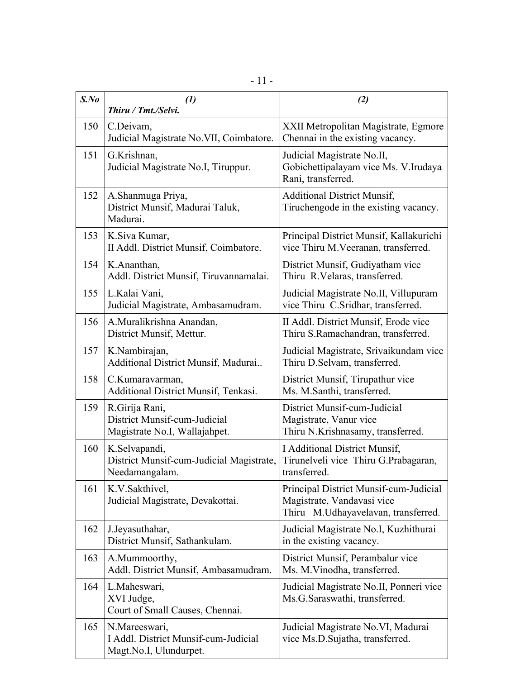| $S$ .No | $\left( l\right)$<br>Thiru / Tmt./Selvi.                                        | (2)                                                                                                         |
|---------|---------------------------------------------------------------------------------|-------------------------------------------------------------------------------------------------------------|
| 150     | C.Deivam,<br>Judicial Magistrate No. VII, Coimbatore.                           | XXII Metropolitan Magistrate, Egmore<br>Chennai in the existing vacancy.                                    |
| 151     | G.Krishnan,<br>Judicial Magistrate No.I, Tiruppur.                              | Judicial Magistrate No.II,<br>Gobichettipalayam vice Ms. V.Irudaya<br>Rani, transferred.                    |
| 152     | A.Shanmuga Priya,<br>District Munsif, Madurai Taluk,<br>Madurai.                | <b>Additional District Munsif,</b><br>Tiruchengode in the existing vacancy.                                 |
| 153     | K.Siva Kumar,<br>II Addl. District Munsif, Coimbatore.                          | Principal District Munsif, Kallakurichi<br>vice Thiru M. Veeranan, transferred.                             |
| 154     | K.Ananthan,<br>Addl. District Munsif, Tiruvannamalai.                           | District Munsif, Gudiyatham vice<br>Thiru R.Velaras, transferred.                                           |
| 155     | L.Kalai Vani,<br>Judicial Magistrate, Ambasamudram.                             | Judicial Magistrate No.II, Villupuram<br>vice Thiru C.Sridhar, transferred.                                 |
| 156     | A.Muralikrishna Anandan,<br>District Munsif, Mettur.                            | II Addl. District Munsif, Erode vice<br>Thiru S.Ramachandran, transferred.                                  |
| 157     | K.Nambirajan,<br>Additional District Munsif, Madurai                            | Judicial Magistrate, Srivaikundam vice<br>Thiru D. Selvam, transferred.                                     |
| 158     | C.Kumaravarman,<br>Additional District Munsif, Tenkasi.                         | District Munsif, Tirupathur vice<br>Ms. M.Santhi, transferred.                                              |
| 159     | R.Girija Rani,<br>District Munsif-cum-Judicial<br>Magistrate No.I, Wallajahpet. | District Munsif-cum-Judicial<br>Magistrate, Vanur vice<br>Thiru N.Krishnasamy, transferred.                 |
| 160     | K.Selvapandi,<br>District Munsif-cum-Judicial Magistrate,<br>Needamangalam.     | I Additional District Munsif,<br>Tirunelveli vice Thiru G.Prabagaran,<br>transferred.                       |
| 161     | K.V.Sakthivel,<br>Judicial Magistrate, Devakottai.                              | Principal District Munsif-cum-Judicial<br>Magistrate, Vandavasi vice<br>Thiru M.Udhayavelavan, transferred. |
| 162     | J.Jeyasuthahar,<br>District Munsif, Sathankulam.                                | Judicial Magistrate No.I, Kuzhithurai<br>in the existing vacancy.                                           |
| 163     | A.Mummoorthy,<br>Addl. District Munsif, Ambasamudram.                           | District Munsif, Perambalur vice<br>Ms. M. Vinodha, transferred.                                            |
| 164     | L.Maheswari,<br>XVI Judge,<br>Court of Small Causes, Chennai.                   | Judicial Magistrate No.II, Ponneri vice<br>Ms.G.Saraswathi, transferred.                                    |
| 165     | N.Mareeswari,<br>I Addl. District Munsif-cum-Judicial<br>Magt.No.I, Ulundurpet. | Judicial Magistrate No.VI, Madurai<br>vice Ms.D.Sujatha, transferred.                                       |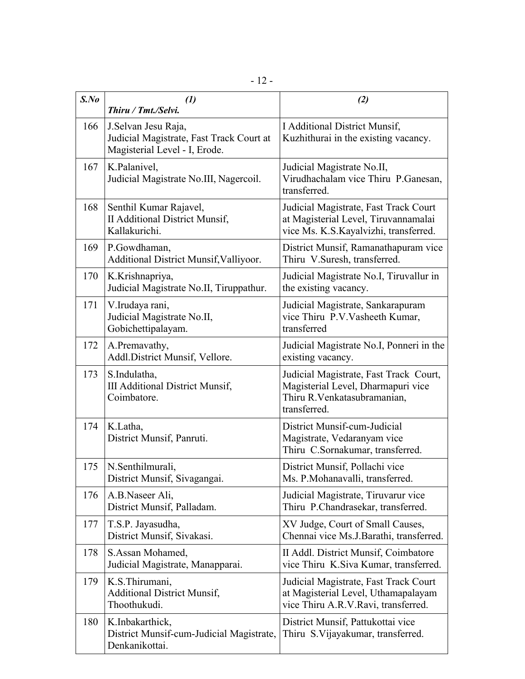| $S$ .No | $\left( \mathbf{1}\right)$<br>Thiru / Tmt./Selvi.                                                 | (2)                                                                                                                          |
|---------|---------------------------------------------------------------------------------------------------|------------------------------------------------------------------------------------------------------------------------------|
| 166     | J. Selvan Jesu Raja,<br>Judicial Magistrate, Fast Track Court at<br>Magisterial Level - I, Erode. | I Additional District Munsif,<br>Kuzhithurai in the existing vacancy.                                                        |
| 167     | K.Palanivel,<br>Judicial Magistrate No.III, Nagercoil.                                            | Judicial Magistrate No.II,<br>Virudhachalam vice Thiru P.Ganesan,<br>transferred.                                            |
| 168     | Senthil Kumar Rajavel,<br><b>II Additional District Munsif,</b><br>Kallakurichi.                  | Judicial Magistrate, Fast Track Court<br>at Magisterial Level, Tiruvannamalai<br>vice Ms. K.S.Kayalvizhi, transferred.       |
| 169     | P.Gowdhaman,<br>Additional District Munsif, Valliyoor.                                            | District Munsif, Ramanathapuram vice<br>Thiru V.Suresh, transferred.                                                         |
| 170     | K.Krishnapriya,<br>Judicial Magistrate No.II, Tiruppathur.                                        | Judicial Magistrate No.I, Tiruvallur in<br>the existing vacancy.                                                             |
| 171     | V.Irudaya rani,<br>Judicial Magistrate No.II,<br>Gobichettipalayam.                               | Judicial Magistrate, Sankarapuram<br>vice Thiru P.V.Vasheeth Kumar,<br>transferred                                           |
| 172     | A.Premavathy,<br>Addl.District Munsif, Vellore.                                                   | Judicial Magistrate No.I, Ponneri in the<br>existing vacancy.                                                                |
| 173     | S.Indulatha,<br><b>III Additional District Munsif,</b><br>Coimbatore.                             | Judicial Magistrate, Fast Track Court,<br>Magisterial Level, Dharmapuri vice<br>Thiru R. Venkatasubramanian,<br>transferred. |
| 174     | K.Latha,<br>District Munsif, Panruti.                                                             | District Munsif-cum-Judicial<br>Magistrate, Vedaranyam vice<br>Thiru C.Sornakumar, transferred.                              |
| 175     | N.Senthilmurali,<br>District Munsif, Sivagangai.                                                  | District Munsif, Pollachi vice<br>Ms. P.Mohanavalli, transferred.                                                            |
| 176     | A.B.Naseer Ali,<br>District Munsif, Palladam.                                                     | Judicial Magistrate, Tiruvarur vice<br>Thiru P.Chandrasekar, transferred.                                                    |
| 177     | T.S.P. Jayasudha,<br>District Munsif, Sivakasi.                                                   | XV Judge, Court of Small Causes,<br>Chennai vice Ms.J.Barathi, transferred.                                                  |
| 178     | S.Assan Mohamed,<br>Judicial Magistrate, Manapparai.                                              | II Addl. District Munsif, Coimbatore<br>vice Thiru K.Siva Kumar, transferred.                                                |
| 179     | K.S.Thirumani,<br><b>Additional District Munsif,</b><br>Thoothukudi.                              | Judicial Magistrate, Fast Track Court<br>at Magisterial Level, Uthamapalayam<br>vice Thiru A.R.V.Ravi, transferred.          |
| 180     | K.Inbakarthick,<br>District Munsif-cum-Judicial Magistrate,<br>Denkanikottai.                     | District Munsif, Pattukottai vice<br>Thiru S. Vijayakumar, transferred.                                                      |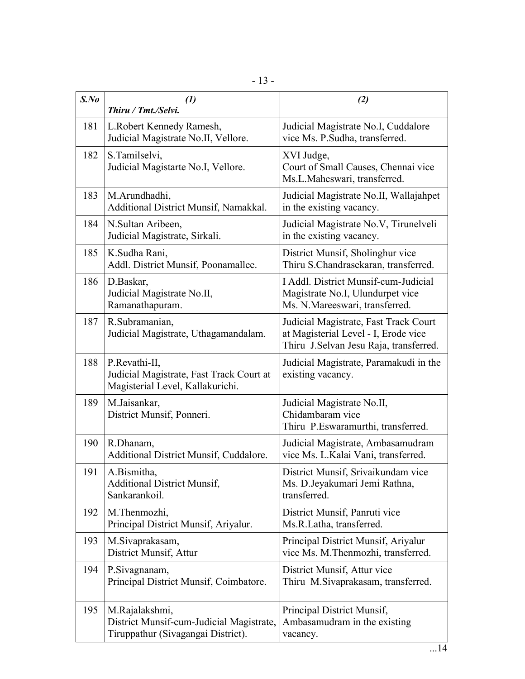| $S$ .No | $\left(1\right)$<br>Thiru / Tmt./Selvi.                                                          | (2)                                                                                                                     |
|---------|--------------------------------------------------------------------------------------------------|-------------------------------------------------------------------------------------------------------------------------|
| 181     | L.Robert Kennedy Ramesh,<br>Judicial Magistrate No.II, Vellore.                                  | Judicial Magistrate No.I, Cuddalore<br>vice Ms. P.Sudha, transferred.                                                   |
| 182     | S.Tamilselvi,<br>Judicial Magistarte No.I, Vellore.                                              | XVI Judge,<br>Court of Small Causes, Chennai vice<br>Ms.L.Maheswari, transferred.                                       |
| 183     | M.Arundhadhi,<br>Additional District Munsif, Namakkal.                                           | Judicial Magistrate No.II, Wallajahpet<br>in the existing vacancy.                                                      |
| 184     | N.Sultan Aribeen,<br>Judicial Magistrate, Sirkali.                                               | Judicial Magistrate No.V, Tirunelveli<br>in the existing vacancy.                                                       |
| 185     | K.Sudha Rani,<br>Addl. District Munsif, Poonamallee.                                             | District Munsif, Sholinghur vice<br>Thiru S.Chandrasekaran, transferred.                                                |
| 186     | D.Baskar,<br>Judicial Magistrate No.II,<br>Ramanathapuram.                                       | I Addl. District Munsif-cum-Judicial<br>Magistrate No.I, Ulundurpet vice<br>Ms. N.Mareeswari, transferred.              |
| 187     | R.Subramanian,<br>Judicial Magistrate, Uthagamandalam.                                           | Judicial Magistrate, Fast Track Court<br>at Magisterial Level - I, Erode vice<br>Thiru J.Selvan Jesu Raja, transferred. |
| 188     | P.Revathi-II,<br>Judicial Magistrate, Fast Track Court at<br>Magisterial Level, Kallakurichi.    | Judicial Magistrate, Paramakudi in the<br>existing vacancy.                                                             |
| 189     | M.Jaisankar,<br>District Munsif, Ponneri.                                                        | Judicial Magistrate No.II,<br>Chidambaram vice<br>Thiru P.Eswaramurthi, transferred.                                    |
| 190     | R.Dhanam,<br>Additional District Munsif, Cuddalore.                                              | Judicial Magistrate, Ambasamudram<br>vice Ms. L.Kalai Vani, transferred.                                                |
| 191     | A.Bismitha,<br><b>Additional District Munsif,</b><br>Sankarankoil.                               | District Munsif, Srivaikundam vice<br>Ms. D.Jeyakumari Jemi Rathna,<br>transferred.                                     |
| 192     | M.Thenmozhi,<br>Principal District Munsif, Ariyalur.                                             | District Munsif, Panruti vice<br>Ms.R.Latha, transferred.                                                               |
| 193     | M.Sivaprakasam,<br>District Munsif, Attur                                                        | Principal District Munsif, Ariyalur<br>vice Ms. M.Thenmozhi, transferred.                                               |
| 194     | P.Sivagnanam,<br>Principal District Munsif, Coimbatore.                                          | District Munsif, Attur vice<br>Thiru M.Sivaprakasam, transferred.                                                       |
| 195     | M.Rajalakshmi,<br>District Munsif-cum-Judicial Magistrate,<br>Tiruppathur (Sivagangai District). | Principal District Munsif,<br>Ambasamudram in the existing<br>vacancy.                                                  |

 $\overline{\phantom{a}}$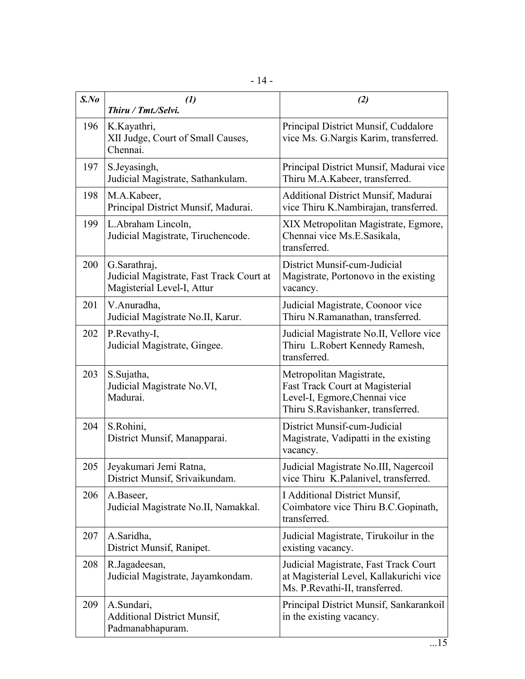|--|--|--|

| $S$ .No | (1)<br>Thiru / Tmt./Selvi.                                                             | (2)                                                                                                                               |
|---------|----------------------------------------------------------------------------------------|-----------------------------------------------------------------------------------------------------------------------------------|
| 196     | K.Kayathri,<br>XII Judge, Court of Small Causes,<br>Chennai.                           | Principal District Munsif, Cuddalore<br>vice Ms. G. Nargis Karim, transferred.                                                    |
| 197     | S.Jeyasingh,<br>Judicial Magistrate, Sathankulam.                                      | Principal District Munsif, Madurai vice<br>Thiru M.A.Kabeer, transferred.                                                         |
| 198     | M.A.Kabeer,<br>Principal District Munsif, Madurai.                                     | Additional District Munsif, Madurai<br>vice Thiru K.Nambirajan, transferred.                                                      |
| 199     | L.Abraham Lincoln,<br>Judicial Magistrate, Tiruchencode.                               | XIX Metropolitan Magistrate, Egmore,<br>Chennai vice Ms.E.Sasikala,<br>transferred.                                               |
| 200     | G.Sarathraj,<br>Judicial Magistrate, Fast Track Court at<br>Magisterial Level-I, Attur | District Munsif-cum-Judicial<br>Magistrate, Portonovo in the existing<br>vacancy.                                                 |
| 201     | V.Anuradha,<br>Judicial Magistrate No.II, Karur.                                       | Judicial Magistrate, Coonoor vice<br>Thiru N.Ramanathan, transferred.                                                             |
| 202     | P.Revathy-I,<br>Judicial Magistrate, Gingee.                                           | Judicial Magistrate No.II, Vellore vice<br>Thiru L.Robert Kennedy Ramesh,<br>transferred.                                         |
| 203     | S.Sujatha,<br>Judicial Magistrate No.VI,<br>Madurai.                                   | Metropolitan Magistrate,<br>Fast Track Court at Magisterial<br>Level-I, Egmore, Chennai vice<br>Thiru S.Ravishanker, transferred. |
| 204     | S.Rohini,<br>District Munsif, Manapparai.                                              | District Munsif-cum-Judicial<br>Magistrate, Vadipatti in the existing<br>vacancy.                                                 |
| 205     | Jeyakumari Jemi Ratna,<br>District Munsif, Srivaikundam.                               | Judicial Magistrate No.III, Nagercoil<br>vice Thiru K.Palanivel, transferred.                                                     |
| 206     | A.Baseer,<br>Judicial Magistrate No.II, Namakkal.                                      | I Additional District Munsif,<br>Coimbatore vice Thiru B.C. Gopinath,<br>transferred.                                             |
| 207     | A.Saridha,<br>District Munsif, Ranipet.                                                | Judicial Magistrate, Tirukoilur in the<br>existing vacancy.                                                                       |
| 208     | R.Jagadeesan,<br>Judicial Magistrate, Jayamkondam.                                     | Judicial Magistrate, Fast Track Court<br>at Magisterial Level, Kallakurichi vice<br>Ms. P.Revathi-II, transferred.                |
| 209     | A.Sundari,<br><b>Additional District Munsif,</b><br>Padmanabhapuram.                   | Principal District Munsif, Sankarankoil<br>in the existing vacancy.                                                               |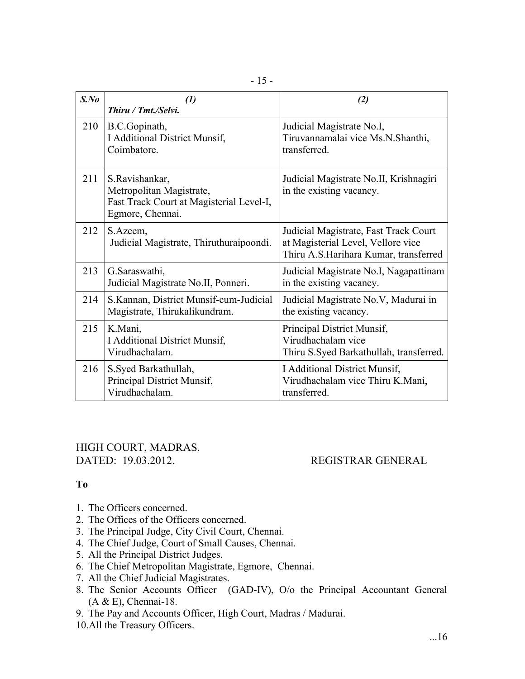| $S$ .No | $\mathcal{L}$<br>Thiru / Tmt./Selvi.                                                                       | (2)                                                                                                                  |
|---------|------------------------------------------------------------------------------------------------------------|----------------------------------------------------------------------------------------------------------------------|
| 210     | B.C.Gopinath,<br>I Additional District Munsif,<br>Coimbatore.                                              | Judicial Magistrate No.I,<br>Tiruvannamalai vice Ms.N.Shanthi,<br>transferred.                                       |
| 211     | S.Ravishankar,<br>Metropolitan Magistrate,<br>Fast Track Court at Magisterial Level-I,<br>Egmore, Chennai. | Judicial Magistrate No.II, Krishnagiri<br>in the existing vacancy.                                                   |
| 212     | S.Azeem,<br>Judicial Magistrate, Thiruthuraipoondi.                                                        | Judicial Magistrate, Fast Track Court<br>at Magisterial Level, Vellore vice<br>Thiru A.S.Harihara Kumar, transferred |
| 213     | G.Saraswathi,<br>Judicial Magistrate No.II, Ponneri.                                                       | Judicial Magistrate No.I, Nagapattinam<br>in the existing vacancy.                                                   |
| 214     | S.Kannan, District Munsif-cum-Judicial<br>Magistrate, Thirukalikundram.                                    | Judicial Magistrate No.V, Madurai in<br>the existing vacancy.                                                        |
| 215     | K.Mani,<br><b>I</b> Additional District Munsif,<br>Virudhachalam.                                          | Principal District Munsif,<br>Virudhachalam vice<br>Thiru S.Syed Barkathullah, transferred.                          |
| 216     | S.Syed Barkathullah,<br>Principal District Munsif,<br>Virudhachalam.                                       | <b>I</b> Additional District Munsif,<br>Virudhachalam vice Thiru K.Mani,<br>transferred.                             |

HIGH COURT, MADRAS. DATED: 19.03.2012. REGISTRAR GENERAL

## **To**

- 1. The Officers concerned.
- 2. The Offices of the Officers concerned.
- 3. The Principal Judge, City Civil Court, Chennai.
- 4. The Chief Judge, Court of Small Causes, Chennai.
- 5. All the Principal District Judges.
- 6. The Chief Metropolitan Magistrate, Egmore, Chennai.
- 7. All the Chief Judicial Magistrates.
- 8. The Senior Accounts Officer (GAD-IV), O/o the Principal Accountant General (A & E), Chennai-18.
- 9. The Pay and Accounts Officer, High Court, Madras / Madurai.
- 10.All the Treasury Officers.